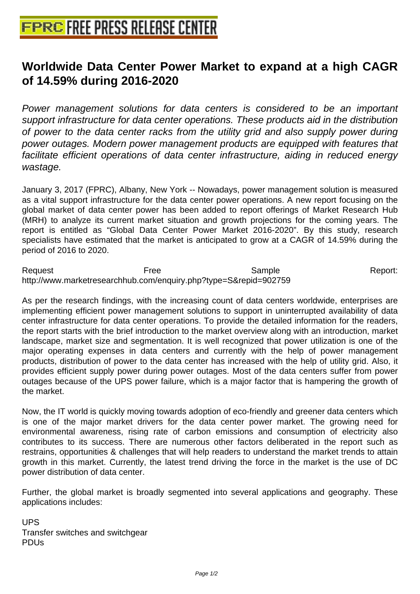## **[Worldwide Data Center Power Ma](http://www.free-press-release-center.info)rket to expand at a high CAGR of 14.59% during 2016-2020**

Power management solutions for data centers is considered to be an important support infrastructure for data center operations. These products aid in the distribution of power to the data center racks from the utility grid and also supply power during power outages. Modern power management products are equipped with features that facilitate efficient operations of data center infrastructure, aiding in reduced energy wastage.

January 3, 2017 (FPRC), Albany, New York -- Nowadays, power management solution is measured as a vital support infrastructure for the data center power operations. A new report focusing on the global market of data center power has been added to report offerings of Market Research Hub (MRH) to analyze its current market situation and growth projections for the coming years. The report is entitled as "Global Data Center Power Market 2016-2020". By this study, research specialists have estimated that the market is anticipated to grow at a CAGR of 14.59% during the period of 2016 to 2020.

Request **Report:** Free Sample Sample Report: http://www.marketresearchhub.com/enquiry.php?type=S&repid=902759

As per the research findings, with the increasing count of data centers worldwide, enterprises are implementing efficient power management solutions to support in uninterrupted availability of data center infrastructure for data center operations. To provide the detailed information for the readers, the report starts with the brief introduction to the market overview along with an introduction, market landscape, market size and segmentation. It is well recognized that power utilization is one of the major operating expenses in data centers and currently with the help of power management products, distribution of power to the data center has increased with the help of utility grid. Also, it provides efficient supply power during power outages. Most of the data centers suffer from power outages because of the UPS power failure, which is a major factor that is hampering the growth of the market.

Now, the IT world is quickly moving towards adoption of eco-friendly and greener data centers which is one of the major market drivers for the data center power market. The growing need for environmental awareness, rising rate of carbon emissions and consumption of electricity also contributes to its success. There are numerous other factors deliberated in the report such as restrains, opportunities & challenges that will help readers to understand the market trends to attain growth in this market. Currently, the latest trend driving the force in the market is the use of DC power distribution of data center.

Further, the global market is broadly segmented into several applications and geography. These applications includes:

UPS Transfer switches and switchgear PDUs